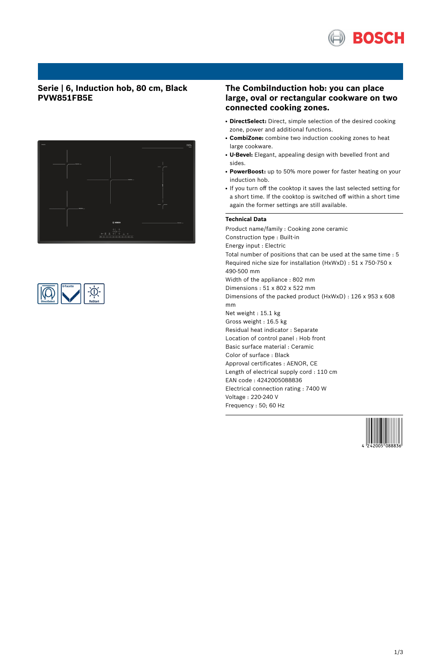

## **Serie | 6, Induction hob, 80 cm, Black PVW851FB5E**





## **The CombiInduction hob: you can place large, oval or rectangular cookware on two connected cooking zones.**

- DirectSelect: Direct, simple selection of the desired cooking zone, power and additional functions.
- **CombiZone:** combine two induction cooking zones to heat large cookware.
- **U-Bevel:** Elegant, appealing design with bevelled front and sides.
- PowerBoost: up to 50% more power for faster heating on your induction hob.
- If you turn off the cooktop it saves the last selected setting for a short time. If the cooktop is switched off within a short time again the former settings are still available.

## **Technical Data**

Product name/family : Cooking zone ceramic Construction type : Built-in Energy input : Electric Total number of positions that can be used at the same time : 5 Required niche size for installation (HxWxD) : 51 x 750-750 x 490-500 mm Width of the appliance : 802 mm Dimensions : 51 x 802 x 522 mm Dimensions of the packed product (HxWxD) : 126 x 953 x 608 mm Net weight : 15.1 kg Gross weight : 16.5 kg Residual heat indicator : Separate Location of control panel : Hob front Basic surface material : Ceramic Color of surface : Black Approval certificates : AENOR, CE Length of electrical supply cord : 110 cm EAN code : 4242005088836 Electrical connection rating : 7400 W Voltage : 220-240 V Frequency : 50; 60 Hz

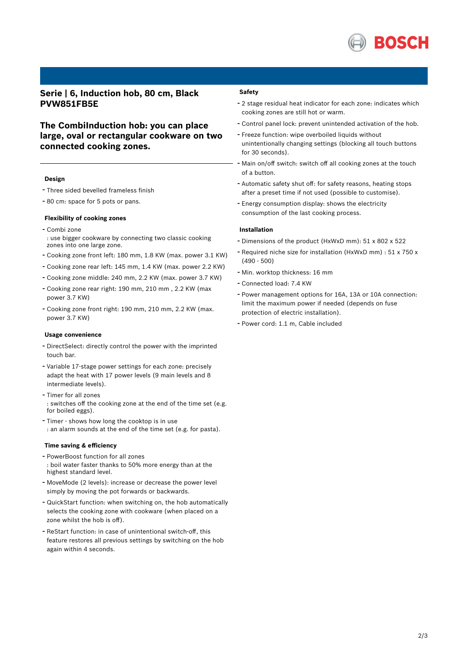

## **Serie | 6, Induction hob, 80 cm, Black PVW851FB5E**

## **The CombiInduction hob: you can place large, oval or rectangular cookware on two connected cooking zones.**

### **Design**

- Three sided bevelled frameless finish
- <sup>80</sup> cm: space for <sup>5</sup> pots or pans.

### **Flexibility of cooking zones**

- Combi zone
- : use bigger cookware by connecting two classic cooking zones into one large zone.
- Cooking zone front left: <sup>180</sup> mm, 1.8 KW (max. power 3.1 KW)
- Cooking zone rear left: <sup>145</sup> mm, 1.4 KW (max. power 2.2 KW)
- Cooking zone middle: <sup>240</sup> mm, 2.2 KW (max. power 3.7 KW)
- Cooking zone rear right: <sup>190</sup> mm, <sup>210</sup> mm , 2.2 KW (max power 3.7 KW)
- Cooking zone front right: <sup>190</sup> mm, <sup>210</sup> mm, 2.2 KW (max. power 3.7 KW)

### **Usage convenience**

- DirectSelect: directly control the power with the imprinted touch bar.
- Variable 17-stage power settings for each zone: precisely adapt the heat with 17 power levels (9 main levels and 8 intermediate levels).
- Timer for all zones : switches off the cooking zone at the end of the time set (e.g. for boiled eggs).
- Timer shows how long the cooktop is in use : an alarm sounds at the end of the time set (e.g. for pasta).

### **Time saving & efficiency**

- PowerBoost function for all zones : boil water faster thanks to 50% more energy than at the highest standard level.
- MoveMode (2 levels): increase or decrease the power level simply by moving the pot forwards or backwards.
- QuickStart function: when switching on, the hob automatically selects the cooking zone with cookware (when placed on a zone whilst the hob is off).
- ReStart function: in case of unintentional switch-off, this feature restores all previous settings by switching on the hob again within 4 seconds.

### **Safety**

- <sup>2</sup> stage residual heat indicator for each zone: indicates which cooking zones are still hot or warm.
- Control panel lock: prevent unintended activation of the hob.
- Freeze function: wipe overboiled liquids without unintentionally changing settings (blocking all touch buttons for 30 seconds).
- Main on/off switch: switch off all cooking zones at the touch of a button.
- Automatic safety shut off: for safety reasons, heating stops after a preset time if not used (possible to customise).
- Energy consumption display: shows the electricity consumption of the last cooking process.

### **Installation**

- Dimensions of the product (HxWxD mm): <sup>51</sup> <sup>x</sup> <sup>802</sup> <sup>x</sup> <sup>522</sup>
- Required niche size for installation (HxWxD mm) : <sup>51</sup> <sup>x</sup> <sup>750</sup> <sup>x</sup> (490 - 500)
- Min. worktop thickness: <sup>16</sup> mm
- Connected load: 7.4 KW
- Power management options for 16A, 13A or 10A connection: limit the maximum power if needed (depends on fuse protection of electric installation).
- Power cord: 1.1 m, Cable included